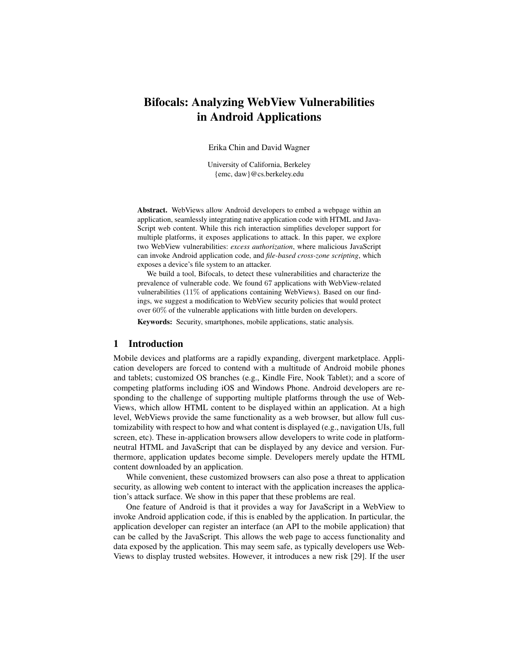# Bifocals: Analyzing WebView Vulnerabilities in Android Applications

Erika Chin and David Wagner

University of California, Berkeley {emc, daw}@cs.berkeley.edu

Abstract. WebViews allow Android developers to embed a webpage within an application, seamlessly integrating native application code with HTML and Java-Script web content. While this rich interaction simplifies developer support for multiple platforms, it exposes applications to attack. In this paper, we explore two WebView vulnerabilities: *excess authorization*, where malicious JavaScript can invoke Android application code, and *file-based cross-zone scripting*, which exposes a device's file system to an attacker.

We build a tool, Bifocals, to detect these vulnerabilities and characterize the prevalence of vulnerable code. We found 67 applications with WebView-related vulnerabilities (11% of applications containing WebViews). Based on our findings, we suggest a modification to WebView security policies that would protect over 60% of the vulnerable applications with little burden on developers.

Keywords: Security, smartphones, mobile applications, static analysis.

## 1 Introduction

Mobile devices and platforms are a rapidly expanding, divergent marketplace. Application developers are forced to contend with a multitude of Android mobile phones and tablets; customized OS branches (e.g., Kindle Fire, Nook Tablet); and a score of competing platforms including iOS and Windows Phone. Android developers are responding to the challenge of supporting multiple platforms through the use of Web-Views, which allow HTML content to be displayed within an application. At a high level, WebViews provide the same functionality as a web browser, but allow full customizability with respect to how and what content is displayed (e.g., navigation UIs, full screen, etc). These in-application browsers allow developers to write code in platformneutral HTML and JavaScript that can be displayed by any device and version. Furthermore, application updates become simple. Developers merely update the HTML content downloaded by an application.

While convenient, these customized browsers can also pose a threat to application security, as allowing web content to interact with the application increases the application's attack surface. We show in this paper that these problems are real.

One feature of Android is that it provides a way for JavaScript in a WebView to invoke Android application code, if this is enabled by the application. In particular, the application developer can register an interface (an API to the mobile application) that can be called by the JavaScript. This allows the web page to access functionality and data exposed by the application. This may seem safe, as typically developers use Web-Views to display trusted websites. However, it introduces a new risk [29]. If the user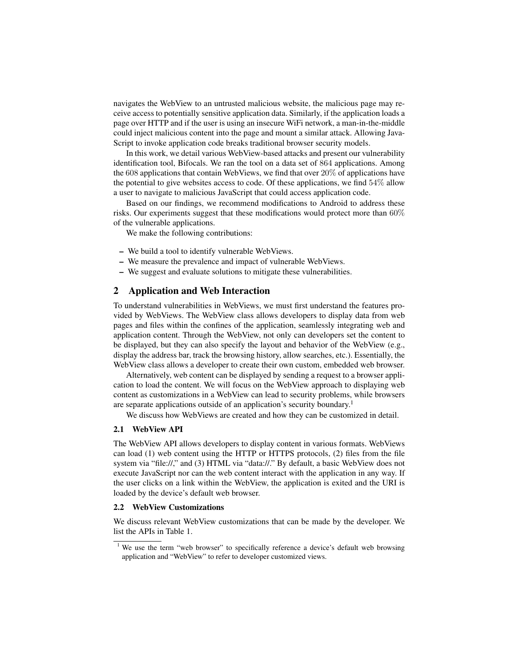navigates the WebView to an untrusted malicious website, the malicious page may receive access to potentially sensitive application data. Similarly, if the application loads a page over HTTP and if the user is using an insecure WiFi network, a man-in-the-middle could inject malicious content into the page and mount a similar attack. Allowing Java-Script to invoke application code breaks traditional browser security models.

In this work, we detail various WebView-based attacks and present our vulnerability identification tool, Bifocals. We ran the tool on a data set of 864 applications. Among the 608 applications that contain WebViews, we find that over 20% of applications have the potential to give websites access to code. Of these applications, we find 54% allow a user to navigate to malicious JavaScript that could access application code.

Based on our findings, we recommend modifications to Android to address these risks. Our experiments suggest that these modifications would protect more than 60% of the vulnerable applications.

We make the following contributions:

- We build a tool to identify vulnerable WebViews.
- We measure the prevalence and impact of vulnerable WebViews.
- We suggest and evaluate solutions to mitigate these vulnerabilities.

## 2 Application and Web Interaction

To understand vulnerabilities in WebViews, we must first understand the features provided by WebViews. The WebView class allows developers to display data from web pages and files within the confines of the application, seamlessly integrating web and application content. Through the WebView, not only can developers set the content to be displayed, but they can also specify the layout and behavior of the WebView (e.g., display the address bar, track the browsing history, allow searches, etc.). Essentially, the WebView class allows a developer to create their own custom, embedded web browser.

Alternatively, web content can be displayed by sending a request to a browser application to load the content. We will focus on the WebView approach to displaying web content as customizations in a WebView can lead to security problems, while browsers are separate applications outside of an application's security boundary.<sup>1</sup>

We discuss how WebViews are created and how they can be customized in detail.

#### 2.1 WebView API

The WebView API allows developers to display content in various formats. WebViews can load (1) web content using the HTTP or HTTPS protocols, (2) files from the file system via "file://," and (3) HTML via "data://." By default, a basic WebView does not execute JavaScript nor can the web content interact with the application in any way. If the user clicks on a link within the WebView, the application is exited and the URI is loaded by the device's default web browser.

#### 2.2 WebView Customizations

We discuss relevant WebView customizations that can be made by the developer. We list the APIs in Table 1.

<sup>&</sup>lt;sup>1</sup> We use the term "web browser" to specifically reference a device's default web browsing application and "WebView" to refer to developer customized views.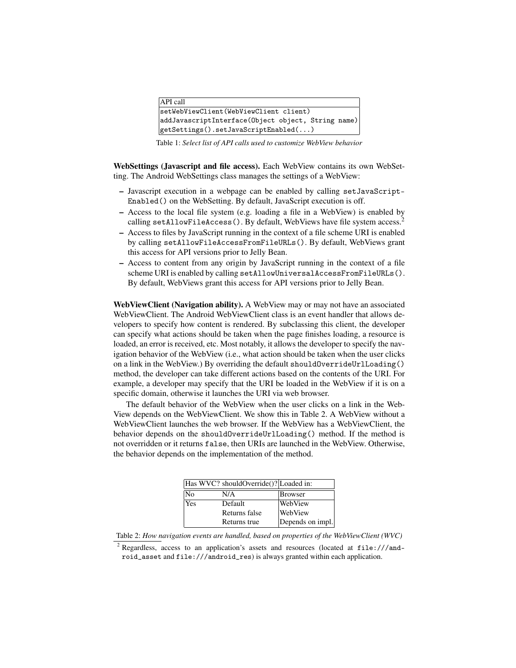| API call                                           |
|----------------------------------------------------|
| setWebViewClient(WebViewClient client)             |
| addJavascriptInterface(Object object, String name) |
| $ getSetting() . set JavaScriptEnabled( )$         |

Table 1: *Select list of API calls used to customize WebView behavior*

WebSettings (Javascript and file access). Each WebView contains its own WebSetting. The Android WebSettings class manages the settings of a WebView:

- Javascript execution in a webpage can be enabled by calling setJavaScript-Enabled() on the WebSetting. By default, JavaScript execution is off.
- Access to the local file system (e.g. loading a file in a WebView) is enabled by calling setAllowFileAccess(). By default, WebViews have file system access.<sup>2</sup>
- Access to files by JavaScript running in the context of a file scheme URI is enabled by calling setAllowFileAccessFromFileURLs(). By default, WebViews grant this access for API versions prior to Jelly Bean.
- Access to content from any origin by JavaScript running in the context of a file scheme URI is enabled by calling setAllowUniversalAccessFromFileURLs(). By default, WebViews grant this access for API versions prior to Jelly Bean.

WebViewClient (Navigation ability). A WebView may or may not have an associated WebViewClient. The Android WebViewClient class is an event handler that allows developers to specify how content is rendered. By subclassing this client, the developer can specify what actions should be taken when the page finishes loading, a resource is loaded, an error is received, etc. Most notably, it allows the developer to specify the navigation behavior of the WebView (i.e., what action should be taken when the user clicks on a link in the WebView.) By overriding the default shouldOverrideUrlLoading() method, the developer can take different actions based on the contents of the URI. For example, a developer may specify that the URI be loaded in the WebView if it is on a specific domain, otherwise it launches the URI via web browser.

The default behavior of the WebView when the user clicks on a link in the Web-View depends on the WebViewClient. We show this in Table 2. A WebView without a WebViewClient launches the web browser. If the WebView has a WebViewClient, the behavior depends on the shouldOverrideUrlLoading() method. If the method is not overridden or it returns false, then URIs are launched in the WebView. Otherwise, the behavior depends on the implementation of the method.

|     | Has WVC? shouldOverride()? Loaded in: |                  |
|-----|---------------------------------------|------------------|
| No  | N/A                                   | Browser          |
| Yes | Default                               | <b>WebView</b>   |
|     | Returns false                         | <b>WebView</b>   |
|     | Returns true                          | Depends on impl. |

Table 2: *How navigation events are handled, based on properties of the WebViewClient (WVC)*

<sup>2</sup> Regardless, access to an application's assets and resources (located at file:///android\_asset and file:///android\_res) is always granted within each application.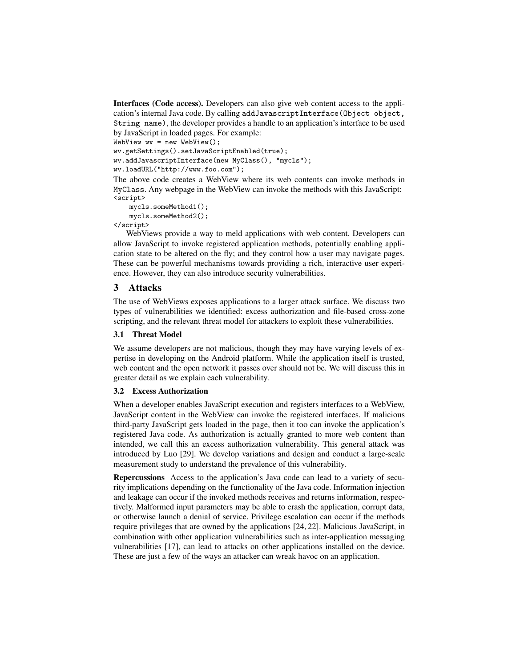Interfaces (Code access). Developers can also give web content access to the application's internal Java code. By calling addJavascriptInterface(Object object, String name), the developer provides a handle to an application's interface to be used by JavaScript in loaded pages. For example:

```
WebView uv = new WebView();
```

```
wv.getSettings().setJavaScriptEnabled(true);
wv.addJavascriptInterface(new MyClass(), "mycls");
wv.loadURL("http://www.foo.com");
```
The above code creates a WebView where its web contents can invoke methods in MyClass. Any webpage in the WebView can invoke the methods with this JavaScript: <script>

```
mycls.someMethod1();
mycls.someMethod2();
```
</script>

WebViews provide a way to meld applications with web content. Developers can allow JavaScript to invoke registered application methods, potentially enabling application state to be altered on the fly; and they control how a user may navigate pages. These can be powerful mechanisms towards providing a rich, interactive user experience. However, they can also introduce security vulnerabilities.

## 3 Attacks

The use of WebViews exposes applications to a larger attack surface. We discuss two types of vulnerabilities we identified: excess authorization and file-based cross-zone scripting, and the relevant threat model for attackers to exploit these vulnerabilities.

## 3.1 Threat Model

We assume developers are not malicious, though they may have varying levels of expertise in developing on the Android platform. While the application itself is trusted, web content and the open network it passes over should not be. We will discuss this in greater detail as we explain each vulnerability.

## 3.2 Excess Authorization

When a developer enables JavaScript execution and registers interfaces to a WebView, JavaScript content in the WebView can invoke the registered interfaces. If malicious third-party JavaScript gets loaded in the page, then it too can invoke the application's registered Java code. As authorization is actually granted to more web content than intended, we call this an excess authorization vulnerability. This general attack was introduced by Luo [29]. We develop variations and design and conduct a large-scale measurement study to understand the prevalence of this vulnerability.

Repercussions Access to the application's Java code can lead to a variety of security implications depending on the functionality of the Java code. Information injection and leakage can occur if the invoked methods receives and returns information, respectively. Malformed input parameters may be able to crash the application, corrupt data, or otherwise launch a denial of service. Privilege escalation can occur if the methods require privileges that are owned by the applications [24, 22]. Malicious JavaScript, in combination with other application vulnerabilities such as inter-application messaging vulnerabilities [17], can lead to attacks on other applications installed on the device. These are just a few of the ways an attacker can wreak havoc on an application.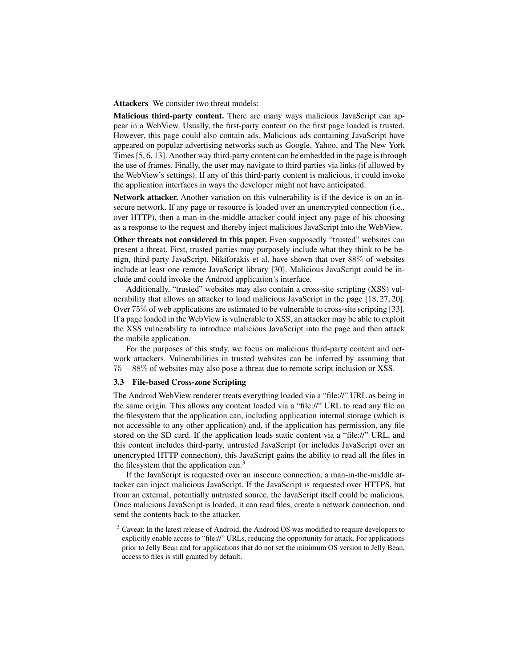Attackers We consider two threat models:

Malicious third-party content. There are many ways malicious JavaScript can appear in a WebView. Usually, the first-party content on the first page loaded is trusted. However, this page could also contain ads. Malicious ads containing JavaScript have appeared on popular advertising networks such as Google, Yahoo, and The New York Times [5, 6, 13]. Another way third-party content can be embedded in the page is through the use of frames. Finally, the user may navigate to third parties via links (if allowed by the WebView's settings). If any of this third-party content is malicious, it could invoke the application interfaces in ways the developer might not have anticipated.

Network attacker. Another variation on this vulnerability is if the device is on an insecure network. If any page or resource is loaded over an unencrypted connection (i.e., over HTTP), then a man-in-the-middle attacker could inject any page of his choosing as a response to the request and thereby inject malicious JavaScript into the WebView.

Other threats not considered in this paper. Even supposedly "trusted" websites can present a threat. First, trusted parties may purposely include what they think to be benign, third-party JavaScript. Nikiforakis et al. have shown that over 88% of websites include at least one remote JavaScript library [30]. Malicious JavaScript could be include and could invoke the Android application's interface.

Additionally, "trusted" websites may also contain a cross-site scripting (XSS) vulnerability that allows an attacker to load malicious JavaScript in the page [18, 27, 20]. Over 75% of web applications are estimated to be vulnerable to cross-site scripting [33]. If a page loaded in the WebView is vulnerable to XSS, an attacker may be able to exploit the XSS vulnerability to introduce malicious JavaScript into the page and then attack the mobile application.

For the purposes of this study, we focus on malicious third-party content and network attackers. Vulnerabilities in trusted websites can be inferred by assuming that 75 − 88% of websites may also pose a threat due to remote script inclusion or XSS.

## 3.3 File-based Cross-zone Scripting

The Android WebView renderer treats everything loaded via a "file://" URL as being in the same origin. This allows any content loaded via a "file://" URL to read any file on the filesystem that the application can, including application internal storage (which is not accessible to any other application) and, if the application has permission, any file stored on the SD card. If the application loads static content via a "file://" URL, and this content includes third-party, untrusted JavaScript (or includes JavaScript over an unencrypted HTTP connection), this JavaScript gains the ability to read all the files in the filesystem that the application can.<sup>3</sup>

If the JavaScript is requested over an insecure connection, a man-in-the-middle attacker can inject malicious JavaScript. If the JavaScript is requested over HTTPS, but from an external, potentially untrusted source, the JavaScript itself could be malicious. Once malicious JavaScript is loaded, it can read files, create a network connection, and send the contents back to the attacker.

<sup>&</sup>lt;sup>3</sup> Caveat: In the latest release of Android, the Android OS was modified to require developers to explicitly enable access to "file://" URLs, reducing the opportunity for attack. For applications prior to Jelly Bean and for applications that do not set the minimum OS version to Jelly Bean, access to files is still granted by default.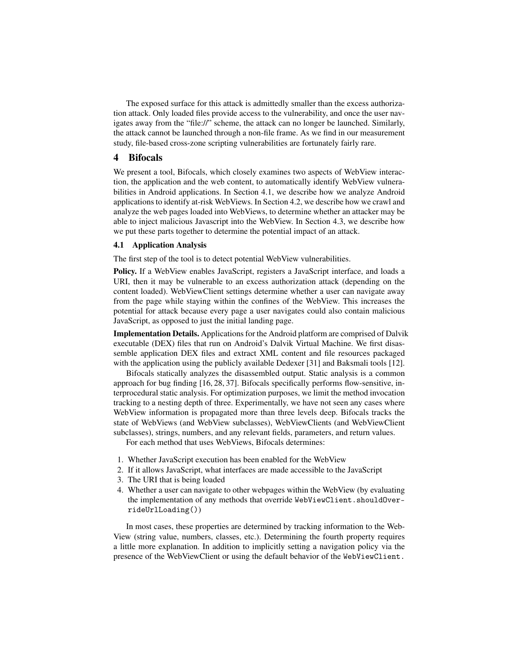The exposed surface for this attack is admittedly smaller than the excess authorization attack. Only loaded files provide access to the vulnerability, and once the user navigates away from the "file://" scheme, the attack can no longer be launched. Similarly, the attack cannot be launched through a non-file frame. As we find in our measurement study, file-based cross-zone scripting vulnerabilities are fortunately fairly rare.

## 4 Bifocals

We present a tool, Bifocals, which closely examines two aspects of WebView interaction, the application and the web content, to automatically identify WebView vulnerabilities in Android applications. In Section 4.1, we describe how we analyze Android applications to identify at-risk WebViews. In Section 4.2, we describe how we crawl and analyze the web pages loaded into WebViews, to determine whether an attacker may be able to inject malicious Javascript into the WebView. In Section 4.3, we describe how we put these parts together to determine the potential impact of an attack.

### 4.1 Application Analysis

The first step of the tool is to detect potential WebView vulnerabilities.

Policy. If a WebView enables JavaScript, registers a JavaScript interface, and loads a URI, then it may be vulnerable to an excess authorization attack (depending on the content loaded). WebViewClient settings determine whether a user can navigate away from the page while staying within the confines of the WebView. This increases the potential for attack because every page a user navigates could also contain malicious JavaScript, as opposed to just the initial landing page.

Implementation Details. Applications for the Android platform are comprised of Dalvik executable (DEX) files that run on Android's Dalvik Virtual Machine. We first disassemble application DEX files and extract XML content and file resources packaged with the application using the publicly available Dedexer [31] and Baksmali tools [12].

Bifocals statically analyzes the disassembled output. Static analysis is a common approach for bug finding [16, 28, 37]. Bifocals specifically performs flow-sensitive, interprocedural static analysis. For optimization purposes, we limit the method invocation tracking to a nesting depth of three. Experimentally, we have not seen any cases where WebView information is propagated more than three levels deep. Bifocals tracks the state of WebViews (and WebView subclasses), WebViewClients (and WebViewClient subclasses), strings, numbers, and any relevant fields, parameters, and return values.

For each method that uses WebViews, Bifocals determines:

- 1. Whether JavaScript execution has been enabled for the WebView
- 2. If it allows JavaScript, what interfaces are made accessible to the JavaScript
- 3. The URI that is being loaded
- 4. Whether a user can navigate to other webpages within the WebView (by evaluating the implementation of any methods that override WebViewClient.shouldOverrideUrlLoading())

In most cases, these properties are determined by tracking information to the Web-View (string value, numbers, classes, etc.). Determining the fourth property requires a little more explanation. In addition to implicitly setting a navigation policy via the presence of the WebViewClient or using the default behavior of the WebViewClient.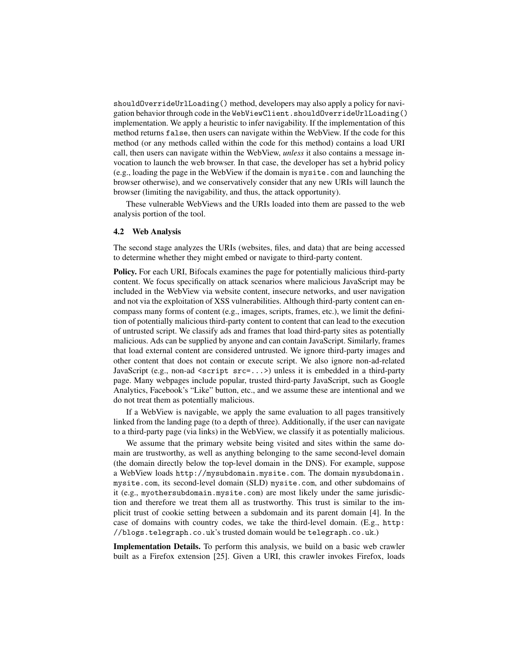shouldOverrideUrlLoading() method, developers may also apply a policy for navigation behavior through code in the WebViewClient.shouldOverrideUrlLoading() implementation. We apply a heuristic to infer navigability. If the implementation of this method returns false, then users can navigate within the WebView. If the code for this method (or any methods called within the code for this method) contains a load URI call, then users can navigate within the WebView, *unless* it also contains a message invocation to launch the web browser. In that case, the developer has set a hybrid policy (e.g., loading the page in the WebView if the domain is mysite.com and launching the browser otherwise), and we conservatively consider that any new URIs will launch the browser (limiting the navigability, and thus, the attack opportunity).

These vulnerable WebViews and the URIs loaded into them are passed to the web analysis portion of the tool.

## 4.2 Web Analysis

The second stage analyzes the URIs (websites, files, and data) that are being accessed to determine whether they might embed or navigate to third-party content.

Policy. For each URI, Bifocals examines the page for potentially malicious third-party content. We focus specifically on attack scenarios where malicious JavaScript may be included in the WebView via website content, insecure networks, and user navigation and not via the exploitation of XSS vulnerabilities. Although third-party content can encompass many forms of content (e.g., images, scripts, frames, etc.), we limit the definition of potentially malicious third-party content to content that can lead to the execution of untrusted script. We classify ads and frames that load third-party sites as potentially malicious. Ads can be supplied by anyone and can contain JavaScript. Similarly, frames that load external content are considered untrusted. We ignore third-party images and other content that does not contain or execute script. We also ignore non-ad-related JavaScript (e.g., non-ad <script src=...>) unless it is embedded in a third-party page. Many webpages include popular, trusted third-party JavaScript, such as Google Analytics, Facebook's "Like" button, etc., and we assume these are intentional and we do not treat them as potentially malicious.

If a WebView is navigable, we apply the same evaluation to all pages transitively linked from the landing page (to a depth of three). Additionally, if the user can navigate to a third-party page (via links) in the WebView, we classify it as potentially malicious.

We assume that the primary website being visited and sites within the same domain are trustworthy, as well as anything belonging to the same second-level domain (the domain directly below the top-level domain in the DNS). For example, suppose a WebView loads http://mysubdomain.mysite.com. The domain mysubdomain. mysite.com, its second-level domain (SLD) mysite.com, and other subdomains of it (e.g., myothersubdomain.mysite.com) are most likely under the same jurisdiction and therefore we treat them all as trustworthy. This trust is similar to the implicit trust of cookie setting between a subdomain and its parent domain [4]. In the case of domains with country codes, we take the third-level domain. (E.g., http: //blogs.telegraph.co.uk's trusted domain would be telegraph.co.uk.)

Implementation Details. To perform this analysis, we build on a basic web crawler built as a Firefox extension [25]. Given a URI, this crawler invokes Firefox, loads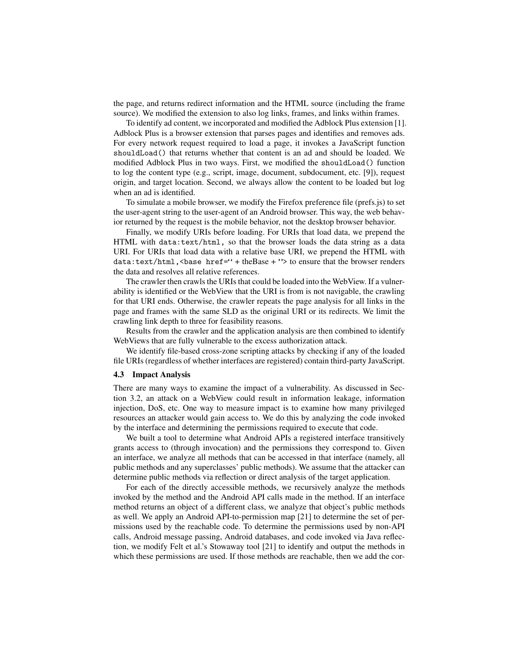the page, and returns redirect information and the HTML source (including the frame source). We modified the extension to also log links, frames, and links within frames.

To identify ad content, we incorporated and modified the Adblock Plus extension [1]. Adblock Plus is a browser extension that parses pages and identifies and removes ads. For every network request required to load a page, it invokes a JavaScript function shouldLoad() that returns whether that content is an ad and should be loaded. We modified Adblock Plus in two ways. First, we modified the shouldLoad() function to log the content type (e.g., script, image, document, subdocument, etc. [9]), request origin, and target location. Second, we always allow the content to be loaded but log when an ad is identified.

To simulate a mobile browser, we modify the Firefox preference file (prefs.js) to set the user-agent string to the user-agent of an Android browser. This way, the web behavior returned by the request is the mobile behavior, not the desktop browser behavior.

Finally, we modify URIs before loading. For URIs that load data, we prepend the HTML with data:text/html, so that the browser loads the data string as a data URI. For URIs that load data with a relative base URI, we prepend the HTML with  $data:text/htm1, **base** href=''+ theBase + "> to ensure that the browser renders$ the data and resolves all relative references.

The crawler then crawls the URIs that could be loaded into the WebView. If a vulnerability is identified or the WebView that the URI is from is not navigable, the crawling for that URI ends. Otherwise, the crawler repeats the page analysis for all links in the page and frames with the same SLD as the original URI or its redirects. We limit the crawling link depth to three for feasibility reasons.

Results from the crawler and the application analysis are then combined to identify WebViews that are fully vulnerable to the excess authorization attack.

We identify file-based cross-zone scripting attacks by checking if any of the loaded file URIs (regardless of whether interfaces are registered) contain third-party JavaScript.

## 4.3 Impact Analysis

There are many ways to examine the impact of a vulnerability. As discussed in Section 3.2, an attack on a WebView could result in information leakage, information injection, DoS, etc. One way to measure impact is to examine how many privileged resources an attacker would gain access to. We do this by analyzing the code invoked by the interface and determining the permissions required to execute that code.

We built a tool to determine what Android APIs a registered interface transitively grants access to (through invocation) and the permissions they correspond to. Given an interface, we analyze all methods that can be accessed in that interface (namely, all public methods and any superclasses' public methods). We assume that the attacker can determine public methods via reflection or direct analysis of the target application.

For each of the directly accessible methods, we recursively analyze the methods invoked by the method and the Android API calls made in the method. If an interface method returns an object of a different class, we analyze that object's public methods as well. We apply an Android API-to-permission map [21] to determine the set of permissions used by the reachable code. To determine the permissions used by non-API calls, Android message passing, Android databases, and code invoked via Java reflection, we modify Felt et al.'s Stowaway tool [21] to identify and output the methods in which these permissions are used. If those methods are reachable, then we add the cor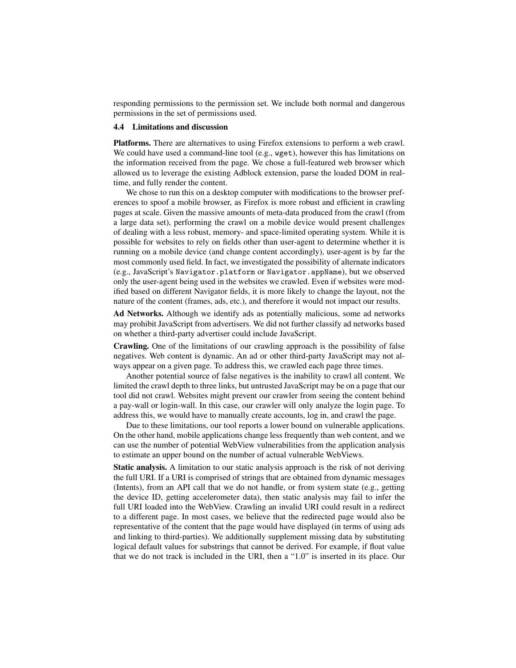responding permissions to the permission set. We include both normal and dangerous permissions in the set of permissions used.

## 4.4 Limitations and discussion

Platforms. There are alternatives to using Firefox extensions to perform a web crawl. We could have used a command-line tool (e.g., wget), however this has limitations on the information received from the page. We chose a full-featured web browser which allowed us to leverage the existing Adblock extension, parse the loaded DOM in realtime, and fully render the content.

We chose to run this on a desktop computer with modifications to the browser preferences to spoof a mobile browser, as Firefox is more robust and efficient in crawling pages at scale. Given the massive amounts of meta-data produced from the crawl (from a large data set), performing the crawl on a mobile device would present challenges of dealing with a less robust, memory- and space-limited operating system. While it is possible for websites to rely on fields other than user-agent to determine whether it is running on a mobile device (and change content accordingly), user-agent is by far the most commonly used field. In fact, we investigated the possibility of alternate indicators (e.g., JavaScript's Navigator.platform or Navigator.appName), but we observed only the user-agent being used in the websites we crawled. Even if websites were modified based on different Navigator fields, it is more likely to change the layout, not the nature of the content (frames, ads, etc.), and therefore it would not impact our results.

Ad Networks. Although we identify ads as potentially malicious, some ad networks may prohibit JavaScript from advertisers. We did not further classify ad networks based on whether a third-party advertiser could include JavaScript.

Crawling. One of the limitations of our crawling approach is the possibility of false negatives. Web content is dynamic. An ad or other third-party JavaScript may not always appear on a given page. To address this, we crawled each page three times.

Another potential source of false negatives is the inability to crawl all content. We limited the crawl depth to three links, but untrusted JavaScript may be on a page that our tool did not crawl. Websites might prevent our crawler from seeing the content behind a pay-wall or login-wall. In this case, our crawler will only analyze the login page. To address this, we would have to manually create accounts, log in, and crawl the page.

Due to these limitations, our tool reports a lower bound on vulnerable applications. On the other hand, mobile applications change less frequently than web content, and we can use the number of potential WebView vulnerabilities from the application analysis to estimate an upper bound on the number of actual vulnerable WebViews.

Static analysis. A limitation to our static analysis approach is the risk of not deriving the full URI. If a URI is comprised of strings that are obtained from dynamic messages (Intents), from an API call that we do not handle, or from system state (e.g., getting the device ID, getting accelerometer data), then static analysis may fail to infer the full URI loaded into the WebView. Crawling an invalid URI could result in a redirect to a different page. In most cases, we believe that the redirected page would also be representative of the content that the page would have displayed (in terms of using ads and linking to third-parties). We additionally supplement missing data by substituting logical default values for substrings that cannot be derived. For example, if float value that we do not track is included in the URI, then a "1.0" is inserted in its place. Our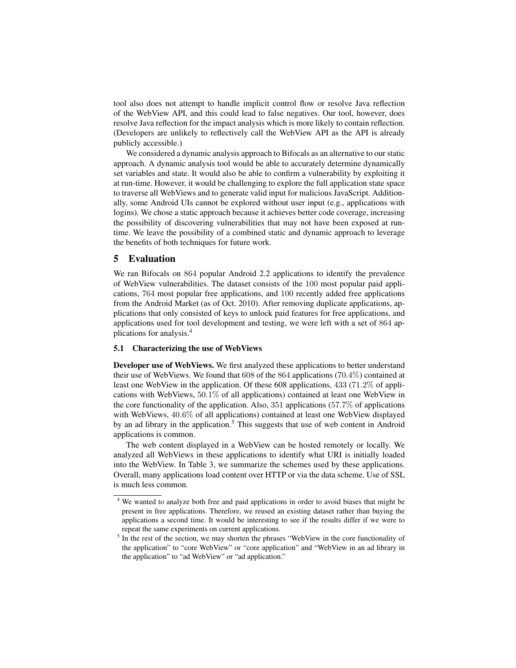tool also does not attempt to handle implicit control flow or resolve Java reflection of the WebView API, and this could lead to false negatives. Our tool, however, does resolve Java reflection for the impact analysis which is more likely to contain reflection. (Developers are unlikely to reflectively call the WebView API as the API is already publicly accessible.)

We considered a dynamic analysis approach to Bifocals as an alternative to our static approach. A dynamic analysis tool would be able to accurately determine dynamically set variables and state. It would also be able to confirm a vulnerability by exploiting it at run-time. However, it would be challenging to explore the full application state space to traverse all WebViews and to generate valid input for malicious JavaScript. Additionally, some Android UIs cannot be explored without user input (e.g., applications with logins). We chose a static approach because it achieves better code coverage, increasing the possibility of discovering vulnerabilities that may not have been exposed at runtime. We leave the possibility of a combined static and dynamic approach to leverage the benefits of both techniques for future work.

## 5 Evaluation

We ran Bifocals on 864 popular Android 2.2 applications to identify the prevalence of WebView vulnerabilities. The dataset consists of the 100 most popular paid applications, 764 most popular free applications, and 100 recently added free applications from the Android Market (as of Oct. 2010). After removing duplicate applications, applications that only consisted of keys to unlock paid features for free applications, and applications used for tool development and testing, we were left with a set of 864 applications for analysis.<sup>4</sup>

## 5.1 Characterizing the use of WebViews

Developer use of WebViews. We first analyzed these applications to better understand their use of WebViews. We found that 608 of the 864 applications (70.4%) contained at least one WebView in the application. Of these 608 applications, 433 (71.2% of applications with WebViews, 50.1% of all applications) contained at least one WebView in the core functionality of the application. Also, 351 applications (57.7% of applications with WebViews, 40.6% of all applications) contained at least one WebView displayed by an ad library in the application.<sup>5</sup> This suggests that use of web content in Android applications is common.

The web content displayed in a WebView can be hosted remotely or locally. We analyzed all WebViews in these applications to identify what URI is initially loaded into the WebView. In Table 3, we summarize the schemes used by these applications. Overall, many applications load content over HTTP or via the data scheme. Use of SSL is much less common.

<sup>&</sup>lt;sup>4</sup> We wanted to analyze both free and paid applications in order to avoid biases that might be present in free applications. Therefore, we reused an existing dataset rather than buying the applications a second time. It would be interesting to see if the results differ if we were to repeat the same experiments on current applications.

 $<sup>5</sup>$  In the rest of the section, we may shorten the phrases "WebView in the core functionality of</sup> the application" to "core WebView" or "core application" and "WebView in an ad library in the application" to "ad WebView" or "ad application."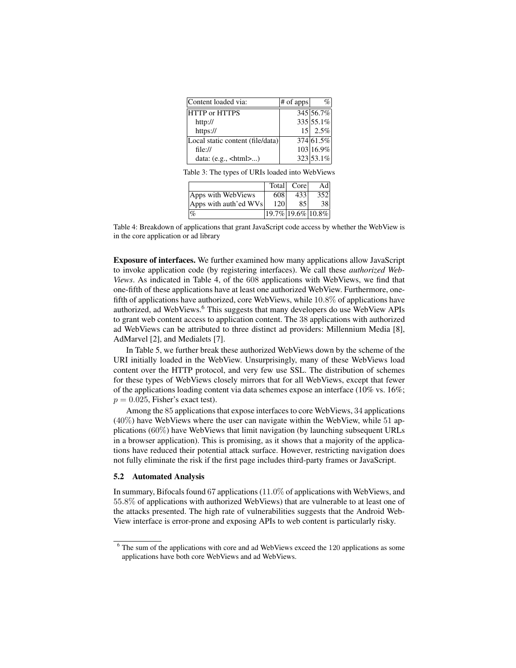| Content loaded via:              | $\#$ of apps | %               |
|----------------------------------|--------------|-----------------|
| <b>HTTP or HTTPS</b>             |              | 345 56.7%       |
| http://                          |              | 335 55.1%       |
| https://                         |              | $15 \mid 2.5\%$ |
| Local static content (file/data) |              | 374 61.5%       |
| file://                          |              | 103 16.9%       |
| data: $(e.g., thm$ )             |              | 323 53.1%       |

Table 3: The types of URIs loaded into WebViews

|                       | Total                    | Core | Adl |
|-----------------------|--------------------------|------|-----|
| Apps with WebViews    | 608                      | 433  | 352 |
| Apps with auth'ed WVs | 120                      | 85   | 381 |
| $\mathcal{A}_0$       | $ 19.7\% 19.6\% 10.8\% $ |      |     |

Table 4: Breakdown of applications that grant JavaScript code access by whether the WebView is in the core application or ad library

Exposure of interfaces. We further examined how many applications allow JavaScript to invoke application code (by registering interfaces). We call these *authorized Web-Views*. As indicated in Table 4, of the 608 applications with WebViews, we find that one-fifth of these applications have at least one authorized WebView. Furthermore, onefifth of applications have authorized, core WebViews, while 10.8% of applications have authorized, ad WebViews.<sup>6</sup> This suggests that many developers do use WebView APIs to grant web content access to application content. The 38 applications with authorized ad WebViews can be attributed to three distinct ad providers: Millennium Media [8], AdMarvel [2], and Medialets [7].

In Table 5, we further break these authorized WebViews down by the scheme of the URI initially loaded in the WebView. Unsurprisingly, many of these WebViews load content over the HTTP protocol, and very few use SSL. The distribution of schemes for these types of WebViews closely mirrors that for all WebViews, except that fewer of the applications loading content via data schemes expose an interface (10% vs. 16%;  $p = 0.025$ , Fisher's exact test).

Among the 85 applications that expose interfaces to core WebViews, 34 applications  $(40\%)$  have WebViews where the user can navigate within the WebView, while 51 applications (60%) have WebViews that limit navigation (by launching subsequent URLs in a browser application). This is promising, as it shows that a majority of the applications have reduced their potential attack surface. However, restricting navigation does not fully eliminate the risk if the first page includes third-party frames or JavaScript.

#### 5.2 Automated Analysis

In summary, Bifocals found 67 applications (11.0% of applications with WebViews, and 55.8% of applications with authorized WebViews) that are vulnerable to at least one of the attacks presented. The high rate of vulnerabilities suggests that the Android Web-View interface is error-prone and exposing APIs to web content is particularly risky.

<sup>6</sup> The sum of the applications with core and ad WebViews exceed the 120 applications as some applications have both core WebViews and ad WebViews.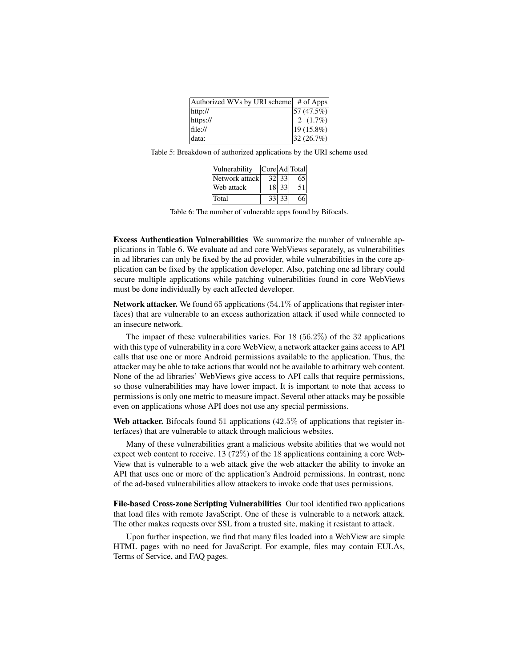| Authorized WVs by URI scheme # of Apps |                                                              |
|----------------------------------------|--------------------------------------------------------------|
| http://                                | 57 (47.5%)                                                   |
| https://                               |                                                              |
| file://                                | $\begin{bmatrix} 2 & (1.7\%) \\ 19 & (15.8\%) \end{bmatrix}$ |
| data:                                  | 32 $(26.7%)$                                                 |

Table 5: Breakdown of authorized applications by the URI scheme used

| Vulnerability  |       | Core Ad Total |
|----------------|-------|---------------|
| Network attack | 32 33 | 65            |
| Web attack     | 18 33 | 51            |
| Total          | 33 33 | 66            |

Table 6: The number of vulnerable apps found by Bifocals.

Excess Authentication Vulnerabilities We summarize the number of vulnerable applications in Table 6. We evaluate ad and core WebViews separately, as vulnerabilities in ad libraries can only be fixed by the ad provider, while vulnerabilities in the core application can be fixed by the application developer. Also, patching one ad library could secure multiple applications while patching vulnerabilities found in core WebViews must be done individually by each affected developer.

**Network attacker.** We found 65 applications (54.1% of applications that register interfaces) that are vulnerable to an excess authorization attack if used while connected to an insecure network.

The impact of these vulnerabilities varies. For  $18 (56.2%)$  of the 32 applications with this type of vulnerability in a core WebView, a network attacker gains access to API calls that use one or more Android permissions available to the application. Thus, the attacker may be able to take actions that would not be available to arbitrary web content. None of the ad libraries' WebViews give access to API calls that require permissions, so those vulnerabilities may have lower impact. It is important to note that access to permissions is only one metric to measure impact. Several other attacks may be possible even on applications whose API does not use any special permissions.

Web attacker. Bifocals found 51 applications (42.5% of applications that register interfaces) that are vulnerable to attack through malicious websites.

Many of these vulnerabilities grant a malicious website abilities that we would not expect web content to receive. 13 (72%) of the 18 applications containing a core Web-View that is vulnerable to a web attack give the web attacker the ability to invoke an API that uses one or more of the application's Android permissions. In contrast, none of the ad-based vulnerabilities allow attackers to invoke code that uses permissions.

File-based Cross-zone Scripting Vulnerabilities Our tool identified two applications that load files with remote JavaScript. One of these is vulnerable to a network attack. The other makes requests over SSL from a trusted site, making it resistant to attack.

Upon further inspection, we find that many files loaded into a WebView are simple HTML pages with no need for JavaScript. For example, files may contain EULAs, Terms of Service, and FAQ pages.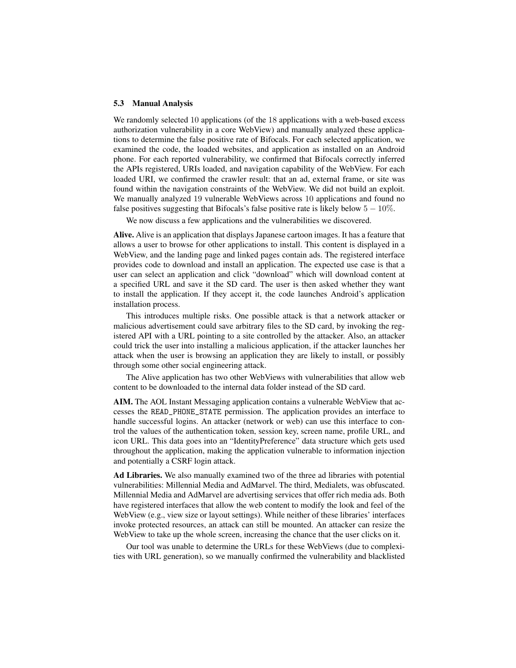#### 5.3 Manual Analysis

We randomly selected 10 applications (of the 18 applications with a web-based excess authorization vulnerability in a core WebView) and manually analyzed these applications to determine the false positive rate of Bifocals. For each selected application, we examined the code, the loaded websites, and application as installed on an Android phone. For each reported vulnerability, we confirmed that Bifocals correctly inferred the APIs registered, URIs loaded, and navigation capability of the WebView. For each loaded URI, we confirmed the crawler result: that an ad, external frame, or site was found within the navigation constraints of the WebView. We did not build an exploit. We manually analyzed 19 vulnerable WebViews across 10 applications and found no false positives suggesting that Bifocals's false positive rate is likely below  $5 - 10\%$ .

We now discuss a few applications and the vulnerabilities we discovered.

Alive. Alive is an application that displays Japanese cartoon images. It has a feature that allows a user to browse for other applications to install. This content is displayed in a WebView, and the landing page and linked pages contain ads. The registered interface provides code to download and install an application. The expected use case is that a user can select an application and click "download" which will download content at a specified URL and save it the SD card. The user is then asked whether they want to install the application. If they accept it, the code launches Android's application installation process.

This introduces multiple risks. One possible attack is that a network attacker or malicious advertisement could save arbitrary files to the SD card, by invoking the registered API with a URL pointing to a site controlled by the attacker. Also, an attacker could trick the user into installing a malicious application, if the attacker launches her attack when the user is browsing an application they are likely to install, or possibly through some other social engineering attack.

The Alive application has two other WebViews with vulnerabilities that allow web content to be downloaded to the internal data folder instead of the SD card.

AIM. The AOL Instant Messaging application contains a vulnerable WebView that accesses the READ\_PHONE\_STATE permission. The application provides an interface to handle successful logins. An attacker (network or web) can use this interface to control the values of the authentication token, session key, screen name, profile URL, and icon URL. This data goes into an "IdentityPreference" data structure which gets used throughout the application, making the application vulnerable to information injection and potentially a CSRF login attack.

Ad Libraries. We also manually examined two of the three ad libraries with potential vulnerabilities: Millennial Media and AdMarvel. The third, Medialets, was obfuscated. Millennial Media and AdMarvel are advertising services that offer rich media ads. Both have registered interfaces that allow the web content to modify the look and feel of the WebView (e.g., view size or layout settings). While neither of these libraries' interfaces invoke protected resources, an attack can still be mounted. An attacker can resize the WebView to take up the whole screen, increasing the chance that the user clicks on it.

Our tool was unable to determine the URLs for these WebViews (due to complexities with URL generation), so we manually confirmed the vulnerability and blacklisted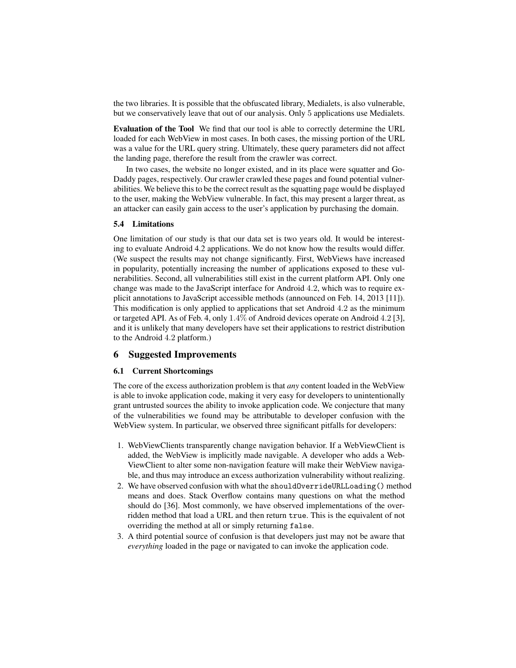the two libraries. It is possible that the obfuscated library, Medialets, is also vulnerable, but we conservatively leave that out of our analysis. Only 5 applications use Medialets.

Evaluation of the Tool We find that our tool is able to correctly determine the URL loaded for each WebView in most cases. In both cases, the missing portion of the URL was a value for the URL query string. Ultimately, these query parameters did not affect the landing page, therefore the result from the crawler was correct.

In two cases, the website no longer existed, and in its place were squatter and Go-Daddy pages, respectively. Our crawler crawled these pages and found potential vulnerabilities. We believe this to be the correct result as the squatting page would be displayed to the user, making the WebView vulnerable. In fact, this may present a larger threat, as an attacker can easily gain access to the user's application by purchasing the domain.

#### 5.4 Limitations

One limitation of our study is that our data set is two years old. It would be interesting to evaluate Android 4.2 applications. We do not know how the results would differ. (We suspect the results may not change significantly. First, WebViews have increased in popularity, potentially increasing the number of applications exposed to these vulnerabilities. Second, all vulnerabilities still exist in the current platform API. Only one change was made to the JavaScript interface for Android 4.2, which was to require explicit annotations to JavaScript accessible methods (announced on Feb. 14, 2013 [11]). This modification is only applied to applications that set Android 4.2 as the minimum or targeted API. As of Feb. 4, only 1.4% of Android devices operate on Android 4.2 [3], and it is unlikely that many developers have set their applications to restrict distribution to the Android 4.2 platform.)

## 6 Suggested Improvements

#### 6.1 Current Shortcomings

The core of the excess authorization problem is that *any* content loaded in the WebView is able to invoke application code, making it very easy for developers to unintentionally grant untrusted sources the ability to invoke application code. We conjecture that many of the vulnerabilities we found may be attributable to developer confusion with the WebView system. In particular, we observed three significant pitfalls for developers:

- 1. WebViewClients transparently change navigation behavior. If a WebViewClient is added, the WebView is implicitly made navigable. A developer who adds a Web-ViewClient to alter some non-navigation feature will make their WebView navigable, and thus may introduce an excess authorization vulnerability without realizing.
- 2. We have observed confusion with what the shouldOverrideURLLoading() method means and does. Stack Overflow contains many questions on what the method should do [36]. Most commonly, we have observed implementations of the overridden method that load a URL and then return true. This is the equivalent of not overriding the method at all or simply returning false.
- 3. A third potential source of confusion is that developers just may not be aware that *everything* loaded in the page or navigated to can invoke the application code.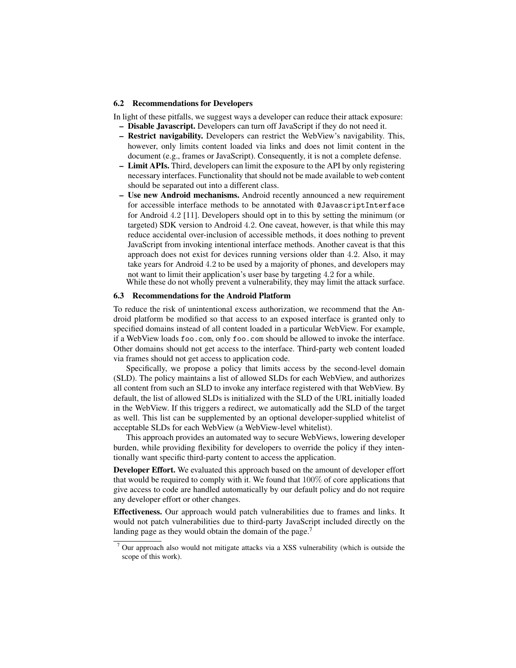#### 6.2 Recommendations for Developers

In light of these pitfalls, we suggest ways a developer can reduce their attack exposure:

- Disable Javascript. Developers can turn off JavaScript if they do not need it.
- Restrict navigability. Developers can restrict the WebView's navigability. This, however, only limits content loaded via links and does not limit content in the document (e.g., frames or JavaScript). Consequently, it is not a complete defense.
- Limit APIs. Third, developers can limit the exposure to the API by only registering necessary interfaces. Functionality that should not be made available to web content should be separated out into a different class.
- Use new Android mechanisms. Android recently announced a new requirement for accessible interface methods to be annotated with @JavascriptInterface for Android 4.2 [11]. Developers should opt in to this by setting the minimum (or targeted) SDK version to Android 4.2. One caveat, however, is that while this may reduce accidental over-inclusion of accessible methods, it does nothing to prevent JavaScript from invoking intentional interface methods. Another caveat is that this approach does not exist for devices running versions older than 4.2. Also, it may take years for Android 4.2 to be used by a majority of phones, and developers may not want to limit their application's user base by targeting 4.2 for a while.

While these do not wholly prevent a vulnerability, they may limit the attack surface.

## 6.3 Recommendations for the Android Platform

To reduce the risk of unintentional excess authorization, we recommend that the Android platform be modified so that access to an exposed interface is granted only to specified domains instead of all content loaded in a particular WebView. For example, if a WebView loads foo.com, only foo.com should be allowed to invoke the interface. Other domains should not get access to the interface. Third-party web content loaded via frames should not get access to application code.

Specifically, we propose a policy that limits access by the second-level domain (SLD). The policy maintains a list of allowed SLDs for each WebView, and authorizes all content from such an SLD to invoke any interface registered with that WebView. By default, the list of allowed SLDs is initialized with the SLD of the URL initially loaded in the WebView. If this triggers a redirect, we automatically add the SLD of the target as well. This list can be supplemented by an optional developer-supplied whitelist of acceptable SLDs for each WebView (a WebView-level whitelist).

This approach provides an automated way to secure WebViews, lowering developer burden, while providing flexibility for developers to override the policy if they intentionally want specific third-party content to access the application.

Developer Effort. We evaluated this approach based on the amount of developer effort that would be required to comply with it. We found that 100% of core applications that give access to code are handled automatically by our default policy and do not require any developer effort or other changes.

Effectiveness. Our approach would patch vulnerabilities due to frames and links. It would not patch vulnerabilities due to third-party JavaScript included directly on the landing page as they would obtain the domain of the page.<sup>7</sup>

<sup>7</sup> Our approach also would not mitigate attacks via a XSS vulnerability (which is outside the scope of this work).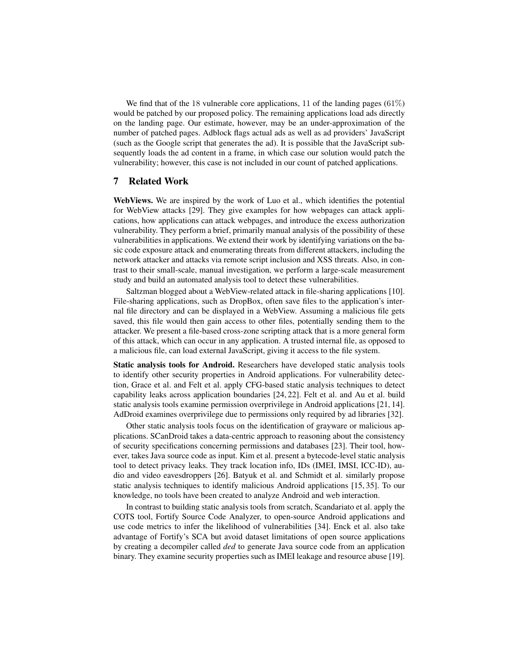We find that of the 18 vulnerable core applications, 11 of the landing pages (61%) would be patched by our proposed policy. The remaining applications load ads directly on the landing page. Our estimate, however, may be an under-approximation of the number of patched pages. Adblock flags actual ads as well as ad providers' JavaScript (such as the Google script that generates the ad). It is possible that the JavaScript subsequently loads the ad content in a frame, in which case our solution would patch the vulnerability; however, this case is not included in our count of patched applications.

## 7 Related Work

WebViews. We are inspired by the work of Luo et al., which identifies the potential for WebView attacks [29]. They give examples for how webpages can attack applications, how applications can attack webpages, and introduce the excess authorization vulnerability. They perform a brief, primarily manual analysis of the possibility of these vulnerabilities in applications. We extend their work by identifying variations on the basic code exposure attack and enumerating threats from different attackers, including the network attacker and attacks via remote script inclusion and XSS threats. Also, in contrast to their small-scale, manual investigation, we perform a large-scale measurement study and build an automated analysis tool to detect these vulnerabilities.

Saltzman blogged about a WebView-related attack in file-sharing applications [10]. File-sharing applications, such as DropBox, often save files to the application's internal file directory and can be displayed in a WebView. Assuming a malicious file gets saved, this file would then gain access to other files, potentially sending them to the attacker. We present a file-based cross-zone scripting attack that is a more general form of this attack, which can occur in any application. A trusted internal file, as opposed to a malicious file, can load external JavaScript, giving it access to the file system.

Static analysis tools for Android. Researchers have developed static analysis tools to identify other security properties in Android applications. For vulnerability detection, Grace et al. and Felt et al. apply CFG-based static analysis techniques to detect capability leaks across application boundaries [24, 22]. Felt et al. and Au et al. build static analysis tools examine permission overprivilege in Android applications [21, 14]. AdDroid examines overprivilege due to permissions only required by ad libraries [32].

Other static analysis tools focus on the identification of grayware or malicious applications. SCanDroid takes a data-centric approach to reasoning about the consistency of security specifications concerning permissions and databases [23]. Their tool, however, takes Java source code as input. Kim et al. present a bytecode-level static analysis tool to detect privacy leaks. They track location info, IDs (IMEI, IMSI, ICC-ID), audio and video eavesdroppers [26]. Batyuk et al. and Schmidt et al. similarly propose static analysis techniques to identify malicious Android applications [15, 35]. To our knowledge, no tools have been created to analyze Android and web interaction.

In contrast to building static analysis tools from scratch, Scandariato et al. apply the COTS tool, Fortify Source Code Analyzer, to open-source Android applications and use code metrics to infer the likelihood of vulnerabilities [34]. Enck et al. also take advantage of Fortify's SCA but avoid dataset limitations of open source applications by creating a decompiler called *ded* to generate Java source code from an application binary. They examine security properties such as IMEI leakage and resource abuse [19].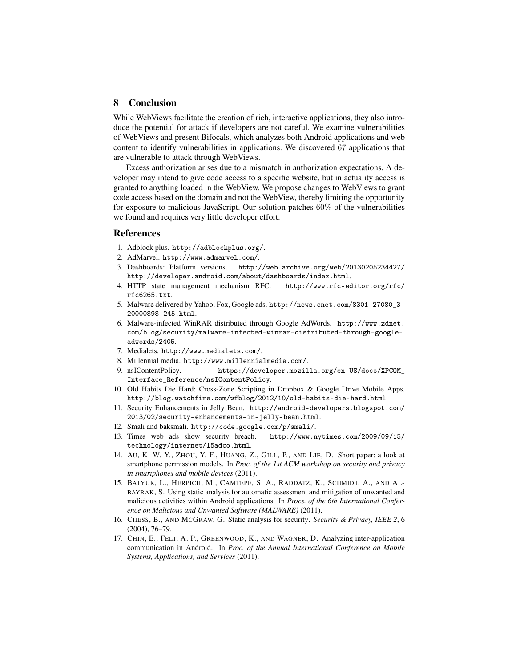## 8 Conclusion

While WebViews facilitate the creation of rich, interactive applications, they also introduce the potential for attack if developers are not careful. We examine vulnerabilities of WebViews and present Bifocals, which analyzes both Android applications and web content to identify vulnerabilities in applications. We discovered 67 applications that are vulnerable to attack through WebViews.

Excess authorization arises due to a mismatch in authorization expectations. A developer may intend to give code access to a specific website, but in actuality access is granted to anything loaded in the WebView. We propose changes to WebViews to grant code access based on the domain and not the WebView, thereby limiting the opportunity for exposure to malicious JavaScript. Our solution patches 60% of the vulnerabilities we found and requires very little developer effort.

## References

- 1. Adblock plus. http://adblockplus.org/.
- 2. AdMarvel. http://www.admarvel.com/.
- 3. Dashboards: Platform versions. http://web.archive.org/web/20130205234427/ http://developer.android.com/about/dashboards/index.html.
- 4. HTTP state management mechanism RFC. http://www.rfc-editor.org/rfc/ rfc6265.txt.
- 5. Malware delivered by Yahoo, Fox, Google ads. http://news.cnet.com/8301-27080\_3- 20000898-245.html.
- 6. Malware-infected WinRAR distributed through Google AdWords. http://www.zdnet. com/blog/security/malware-infected-winrar-distributed-through-googleadwords/2405.
- 7. Medialets. http://www.medialets.com/.
- 8. Millennial media. http://www.millennialmedia.com/.
- 9. nsIContentPolicy. https://developer.mozilla.org/en-US/docs/XPCOM\_ Interface\_Reference/nsIContentPolicy.
- 10. Old Habits Die Hard: Cross-Zone Scripting in Dropbox & Google Drive Mobile Apps. http://blog.watchfire.com/wfblog/2012/10/old-habits-die-hard.html.
- 11. Security Enhancements in Jelly Bean. http://android-developers.blogspot.com/ 2013/02/security-enhancements-in-jelly-bean.html.
- 12. Smali and baksmali. http://code.google.com/p/smali/.
- 13. Times web ads show security breach. http://www.nytimes.com/2009/09/15/ technology/internet/15adco.html.
- 14. AU, K. W. Y., ZHOU, Y. F., HUANG, Z., GILL, P., AND LIE, D. Short paper: a look at smartphone permission models. In *Proc. of the 1st ACM workshop on security and privacy in smartphones and mobile devices* (2011).
- 15. BATYUK, L., HERPICH, M., CAMTEPE, S. A., RADDATZ, K., SCHMIDT, A., AND AL-BAYRAK, S. Using static analysis for automatic assessment and mitigation of unwanted and malicious activities within Android applications. In *Procs. of the 6th International Conference on Malicious and Unwanted Software (MALWARE)* (2011).
- 16. CHESS, B., AND MCGRAW, G. Static analysis for security. *Security & Privacy, IEEE 2*, 6 (2004), 76–79.
- 17. CHIN, E., FELT, A. P., GREENWOOD, K., AND WAGNER, D. Analyzing inter-application communication in Android. In *Proc. of the Annual International Conference on Mobile Systems, Applications, and Services* (2011).